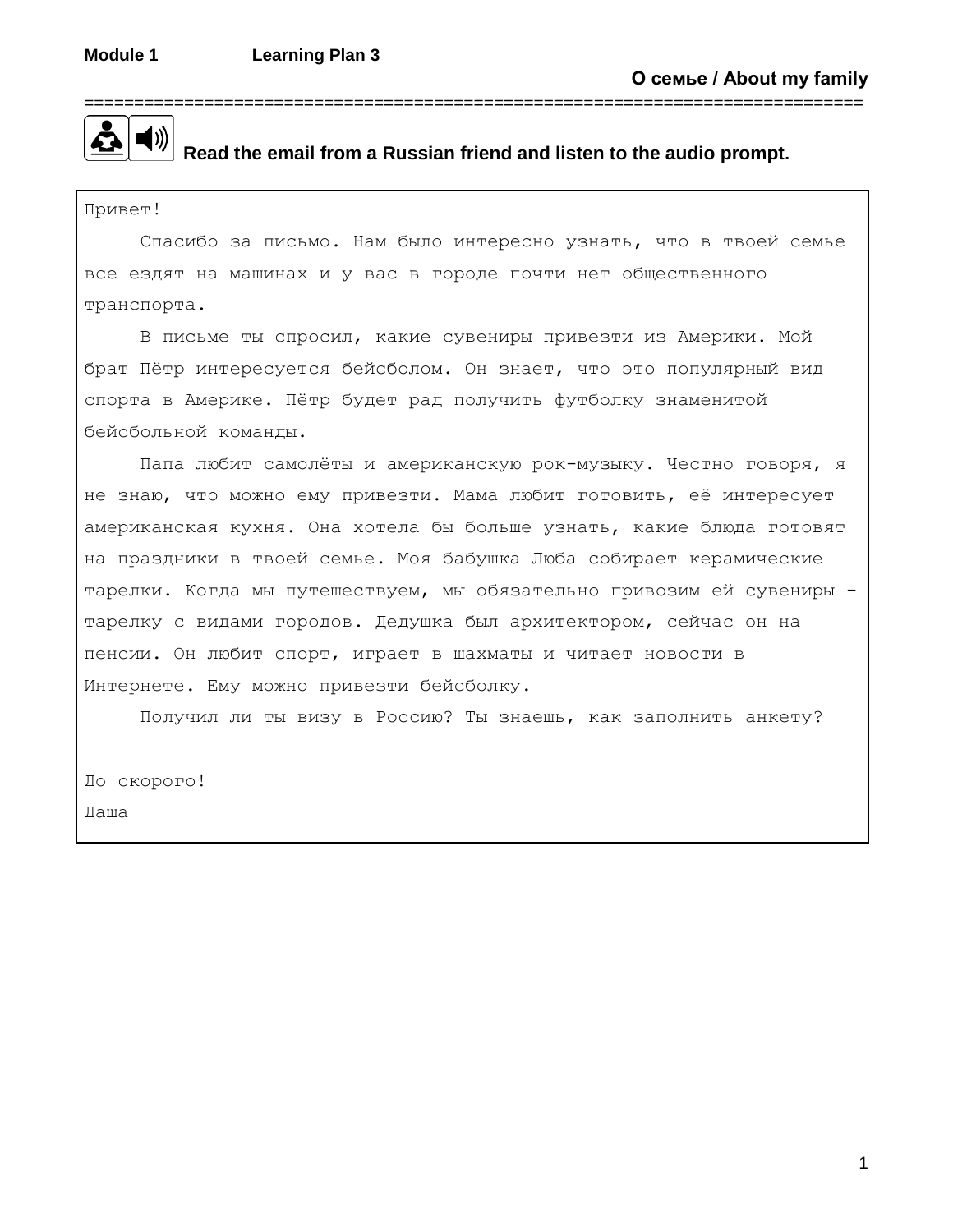

## **Read the email from a Russian friend and listen to the audio prompt.**

Привет!

Спасибо за письмо. Нам было интересно узнать, что в твоей семье все ездят на машинах и у вас в городе почти нет общественного транспорта.

В письме ты спросил, какие сувениры привезти из Америки. Мой брат Пётр интересуется бейсболом. Он знает, что это популярный вид спорта в Америке. Пётр будет рад получить футболку знаменитой бейсбольной команды.

Папа любит самолёты и американскую рок-музыку. Честно говоря, я не знаю, что можно ему привезти. Мама любит готовить, её интересует американская кухня. Она хотела бы больше узнать, какие блюда готовят на праздники в твоей семье. Моя бабушка Люба собирает керамические тарелки. Когда мы путешествуем, мы обязательно привозим ей сувениры тарелку с видами городов. Дедушка был архитектором, сейчас он на пенсии. Он любит спорт, играет в шахматы и читает новости в Интернете. Ему можно привезти бейсболку.

Получил ли ты визу в Россию? Ты знаешь, как заполнить анкету?

До скорого!

Даша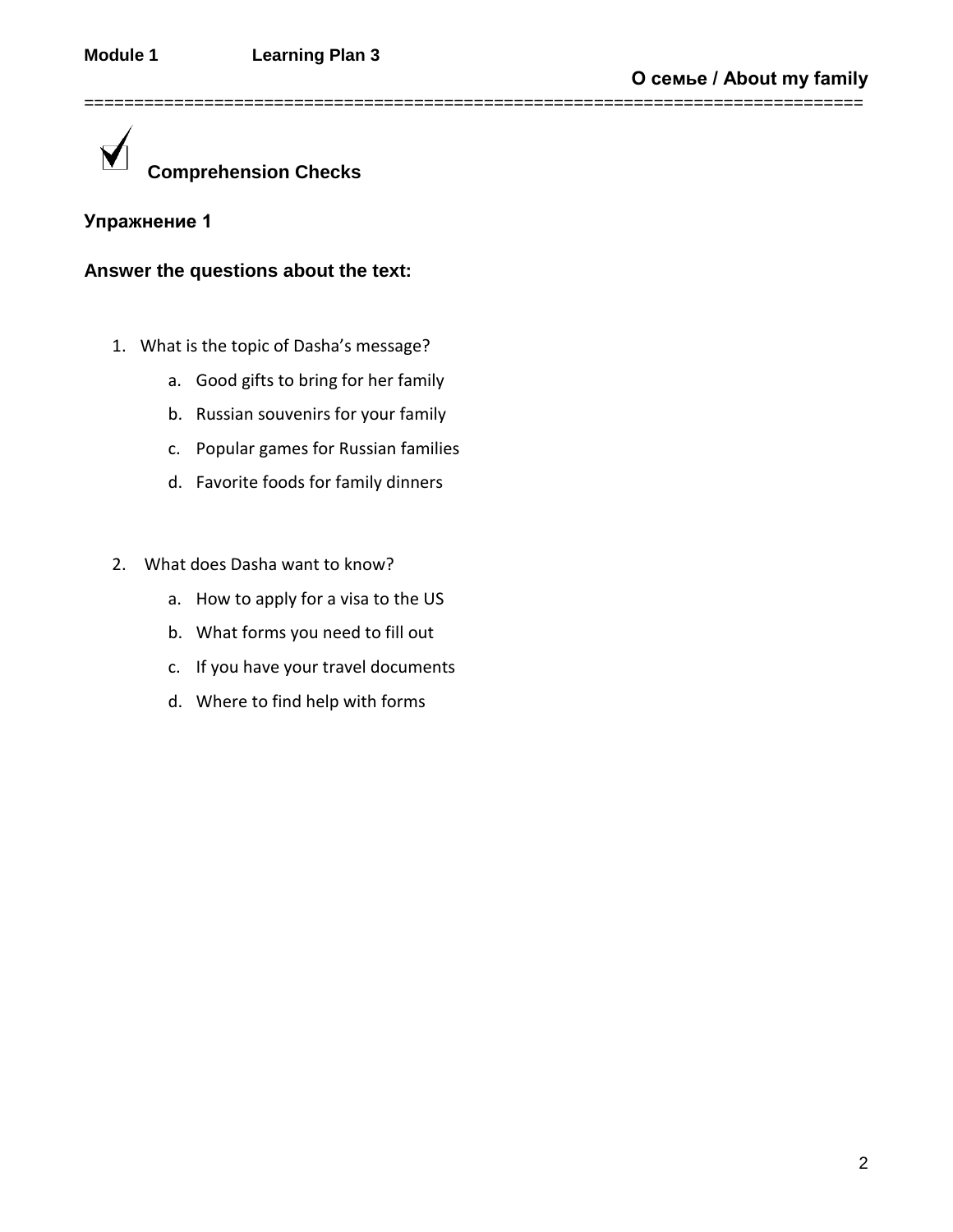==============================================================================

**Comprehension Checks**

# **Упражнение 1**

# **Answer the questions about the text:**

- 1. What is the topic of Dasha's message?
	- a. Good gifts to bring for her family
	- b. Russian souvenirs for your family
	- c. Popular games for Russian families
	- d. Favorite foods for family dinners
- 2. What does Dasha want to know?
	- a. How to apply for a visa to the US
	- b. What forms you need to fill out
	- c. If you have your travel documents
	- d. Where to find help with forms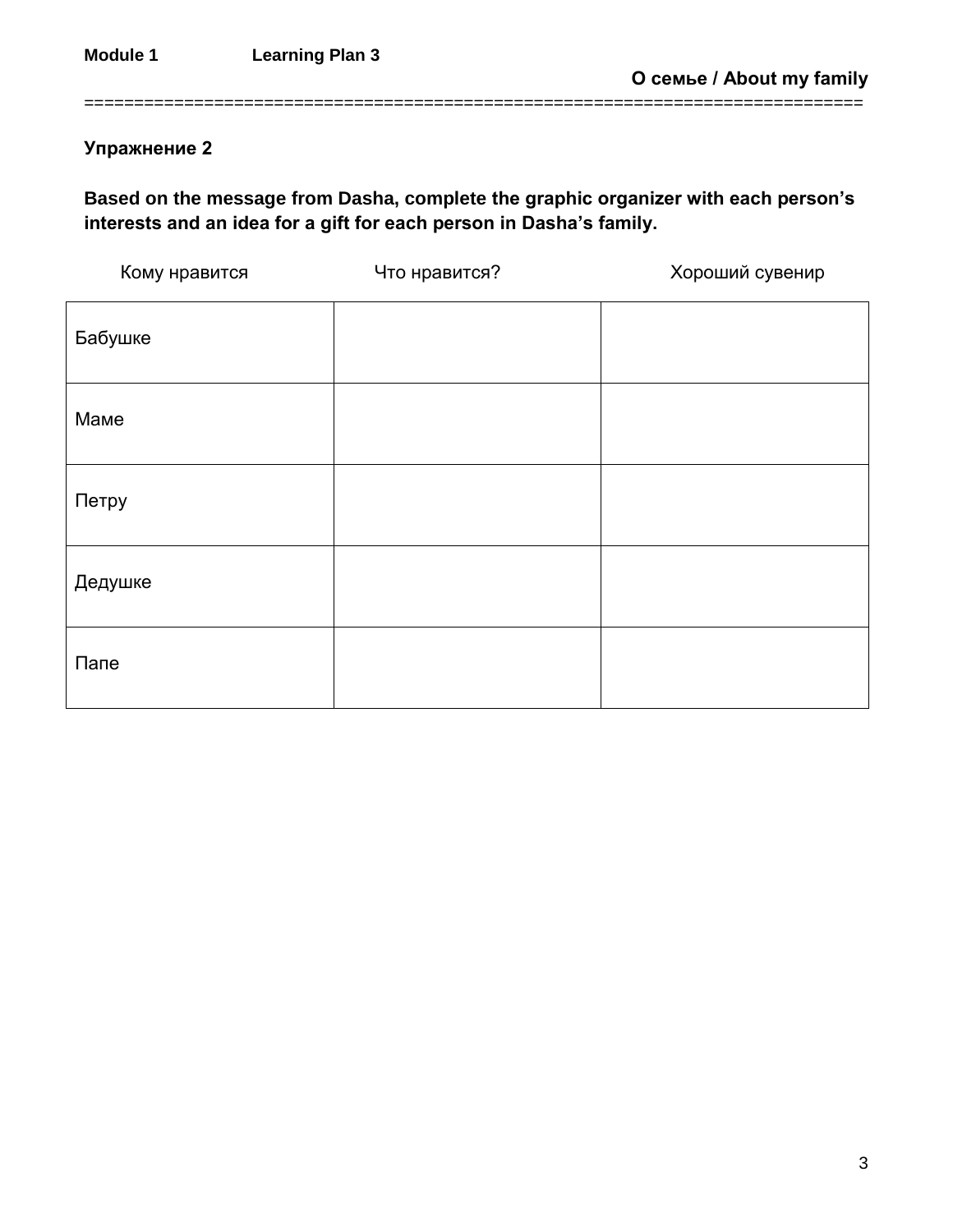**Упражнение 2**

**Based on the message from Dasha, complete the graphic organizer with each person's interests and an idea for a gift for each person in Dasha's family.**

==============================================================================

| Кому нравится | Что нравится? | Хороший сувенир |
|---------------|---------------|-----------------|
| Бабушке       |               |                 |
| Маме          |               |                 |
| Петру         |               |                 |
| Дедушке       |               |                 |
| Папе          |               |                 |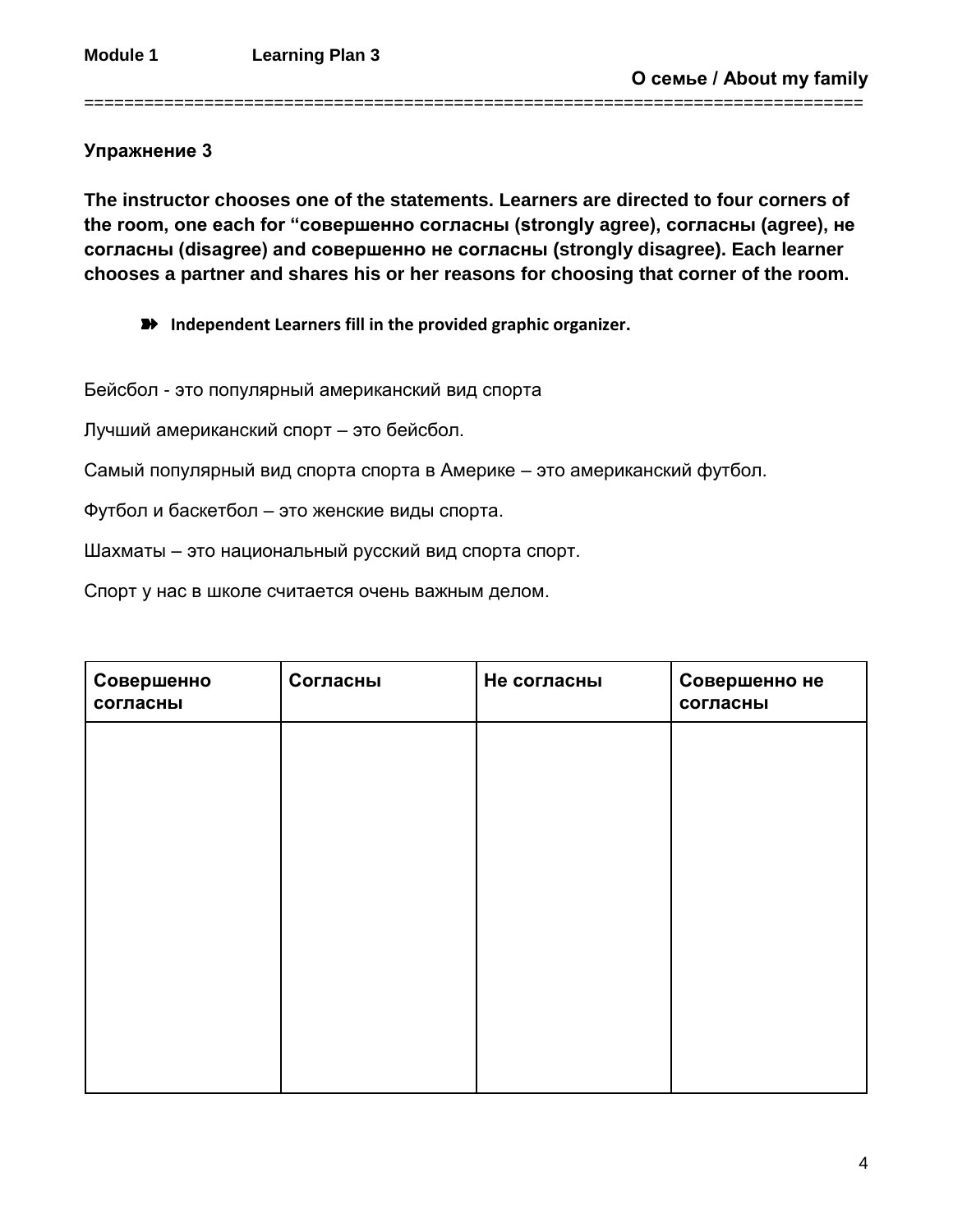### **Упражнение 3**

**The instructor chooses one of the statements. Learners are directed to four corners of the room, one each for "совершенно согласны (strongly agree), согласны (agree), не согласны (disagree) and совершенно не согласны (strongly disagree). Each learner chooses a partner and shares his or her reasons for choosing that corner of the room.**

==============================================================================

➽ **Independent Learners fill in the provided graphic organizer.** 

Бейсбол - это популярный американский вид спорта

Лучший американский спорт – это бейсбол.

Самый популярный вид спорта спорта в Америке – это американский футбол.

Футбол и баскетбол – это женские виды спорта.

Шахматы – это национальный русский вид спорта спорт.

Спорт у нас в школе считается очень важным делом.

| Совершенно<br>согласны | Согласны | Не согласны | Совершенно не<br>согласны |
|------------------------|----------|-------------|---------------------------|
|                        |          |             |                           |
|                        |          |             |                           |
|                        |          |             |                           |
|                        |          |             |                           |
|                        |          |             |                           |
|                        |          |             |                           |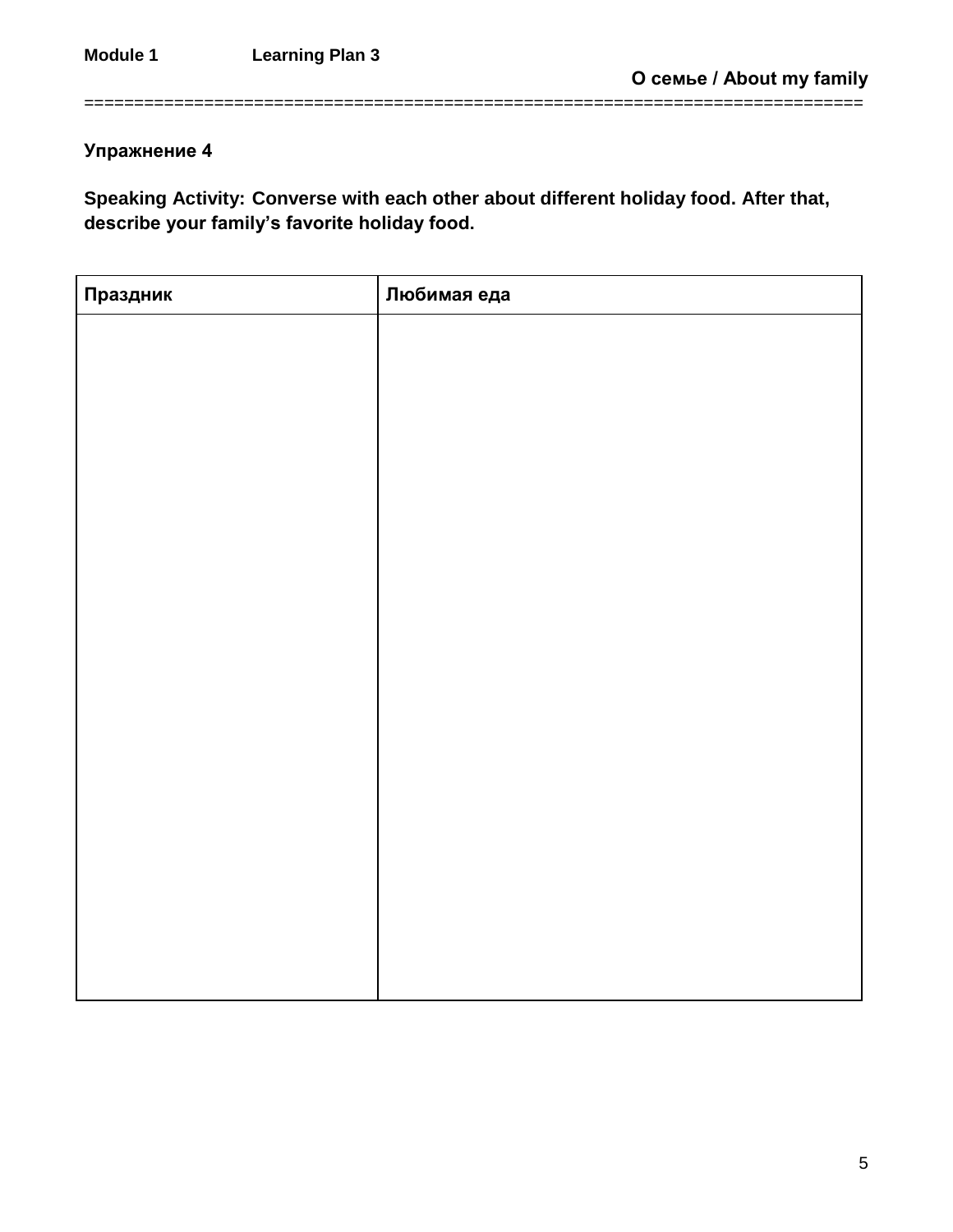# **Упражнение 4**

**Speaking Activity: Converse with each other about different holiday food. After that, describe your family's favorite holiday food.**

==============================================================================

| Праздник | Любимая еда |
|----------|-------------|
|          |             |
|          |             |
|          |             |
|          |             |
|          |             |
|          |             |
|          |             |
|          |             |
|          |             |
|          |             |
|          |             |
|          |             |
|          |             |
|          |             |
|          |             |
|          |             |
|          |             |
|          |             |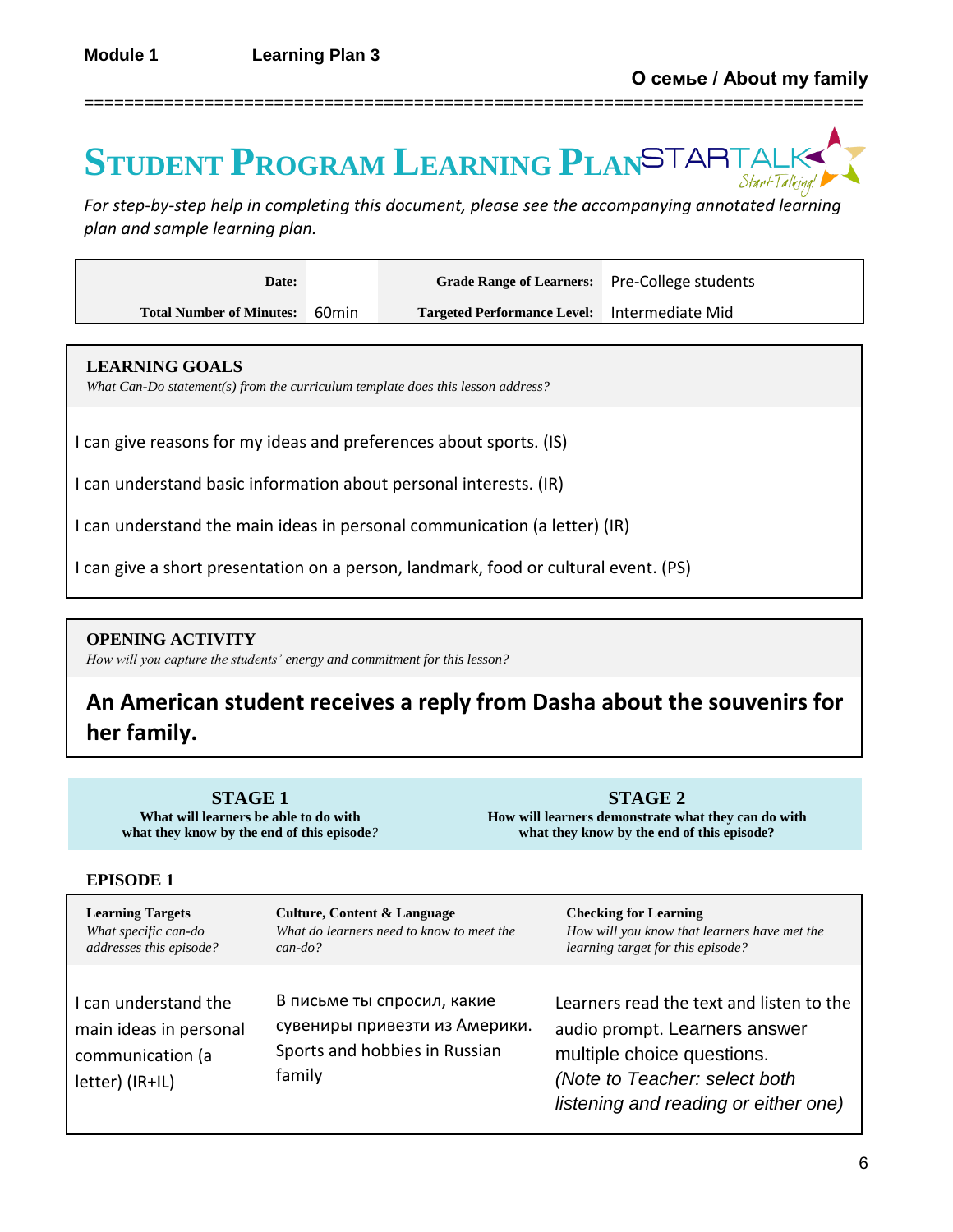# **STUDENT PROGRAM LEARNING PLAN**

==============================================================================

*For step-by-step help in completing this document, please see the accompanying annotated learning plan and sample learning plan.*

| Date:                           |       | Grade Range of Learners: Pre-College students |  |
|---------------------------------|-------|-----------------------------------------------|--|
| <b>Total Number of Minutes:</b> | 60min | Targeted Performance Level: Intermediate Mid  |  |

### **LEARNING GOALS**

*What Can-Do statement(s) from the curriculum template does this lesson address?*

I can give reasons for my ideas and preferences about sports. (IS)

I can understand basic information about personal interests. (IR)

I can understand the main ideas in personal communication (a letter) (IR)

I can give a short presentation on a person, landmark, food or cultural event. (PS)

### **OPENING ACTIVITY**

*How will you capture the students' energy and commitment for this lesson?*

# **An American student receives a reply from Dasha about the souvenirs for her family.**

**STAGE 1 What will learners be able to do with what they know by the end of this episode***?*

**STAGE 2 How will learners demonstrate what they can do with what they know by the end of this episode?**

### **EPISODE 1**

| <b>Learning Targets</b>                                                               | Culture, Content & Language                                                                            | <b>Checking for Learning</b>                                                                                                                                                     |
|---------------------------------------------------------------------------------------|--------------------------------------------------------------------------------------------------------|----------------------------------------------------------------------------------------------------------------------------------------------------------------------------------|
| What specific can-do                                                                  | What do learners need to know to meet the                                                              | How will you know that learners have met the                                                                                                                                     |
| addresses this episode?                                                               | $can$ -do?                                                                                             | learning target for this episode?                                                                                                                                                |
| I can understand the<br>main ideas in personal<br>communication (a<br>letter) (IR+IL) | В письме ты спросил, какие<br>сувениры привезти из Америки.<br>Sports and hobbies in Russian<br>family | Learners read the text and listen to the<br>audio prompt. Learners answer<br>multiple choice questions.<br>(Note to Teacher: select both<br>listening and reading or either one) |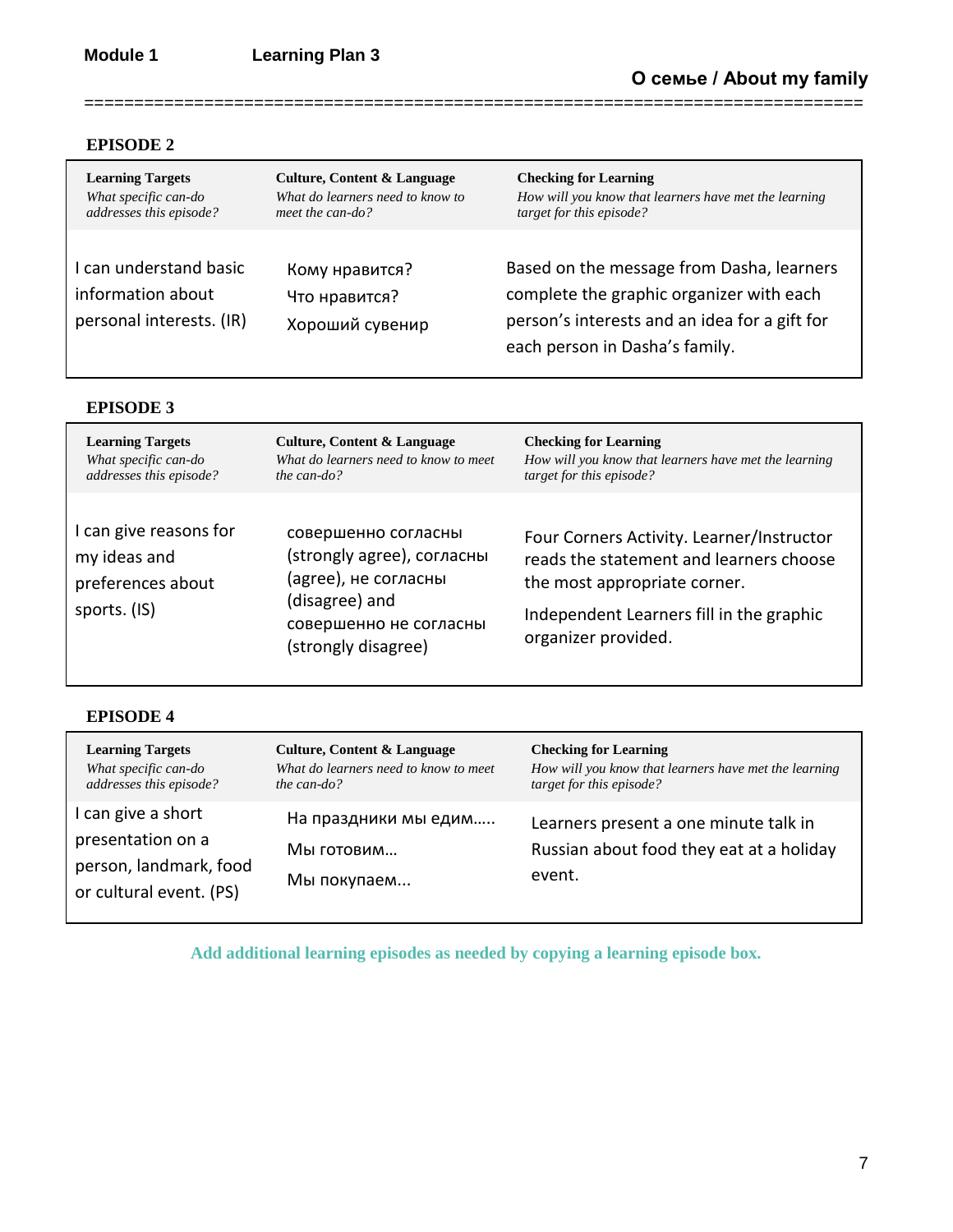### **EPISODE 2**

| <b>Learning Targets</b>                                                 | <b>Culture, Content &amp; Language</b>             | <b>Checking for Learning</b>                                                                                                                                             |
|-------------------------------------------------------------------------|----------------------------------------------------|--------------------------------------------------------------------------------------------------------------------------------------------------------------------------|
| What specific can-do                                                    | What do learners need to know to                   | How will you know that learners have met the learning                                                                                                                    |
| addresses this episode?                                                 | meet the can-do?                                   | target for this episode?                                                                                                                                                 |
| I can understand basic<br>information about<br>personal interests. (IR) | Кому нравится?<br>Что нравится?<br>Хороший сувенир | Based on the message from Dasha, learners<br>complete the graphic organizer with each<br>person's interests and an idea for a gift for<br>each person in Dasha's family. |

==============================================================================

### **EPISODE 3**

| <b>Learning Targets</b>                                                     | Culture, Content & Language                                                                                                                  | <b>Checking for Learning</b>                                                                                                                                                            |
|-----------------------------------------------------------------------------|----------------------------------------------------------------------------------------------------------------------------------------------|-----------------------------------------------------------------------------------------------------------------------------------------------------------------------------------------|
| What specific can-do                                                        | What do learners need to know to meet                                                                                                        | How will you know that learners have met the learning                                                                                                                                   |
| addresses this episode?                                                     | the can-do?                                                                                                                                  | target for this episode?                                                                                                                                                                |
| I can give reasons for<br>my ideas and<br>preferences about<br>sports. (IS) | совершенно согласны<br>(strongly agree), согласны<br>(agree), не согласны<br>(disagree) and<br>совершенно не согласны<br>(strongly disagree) | Four Corners Activity. Learner/Instructor<br>reads the statement and learners choose<br>the most appropriate corner.<br>Independent Learners fill in the graphic<br>organizer provided. |

### **EPISODE 4**

| <b>Learning Targets</b>                                                                      | <b>Culture, Content &amp; Language</b>            | <b>Checking for Learning</b>                                                                |
|----------------------------------------------------------------------------------------------|---------------------------------------------------|---------------------------------------------------------------------------------------------|
| What specific can-do                                                                         | What do learners need to know to meet             | How will you know that learners have met the learning                                       |
| addresses this episode?                                                                      | the can-do?                                       | target for this episode?                                                                    |
| I can give a short<br>presentation on a<br>person, landmark, food<br>or cultural event. (PS) | На праздники мы едим<br>Мы готовим<br>Мы покупаем | Learners present a one minute talk in<br>Russian about food they eat at a holiday<br>event. |

**Add additional learning episodes as needed by copying a learning episode box.**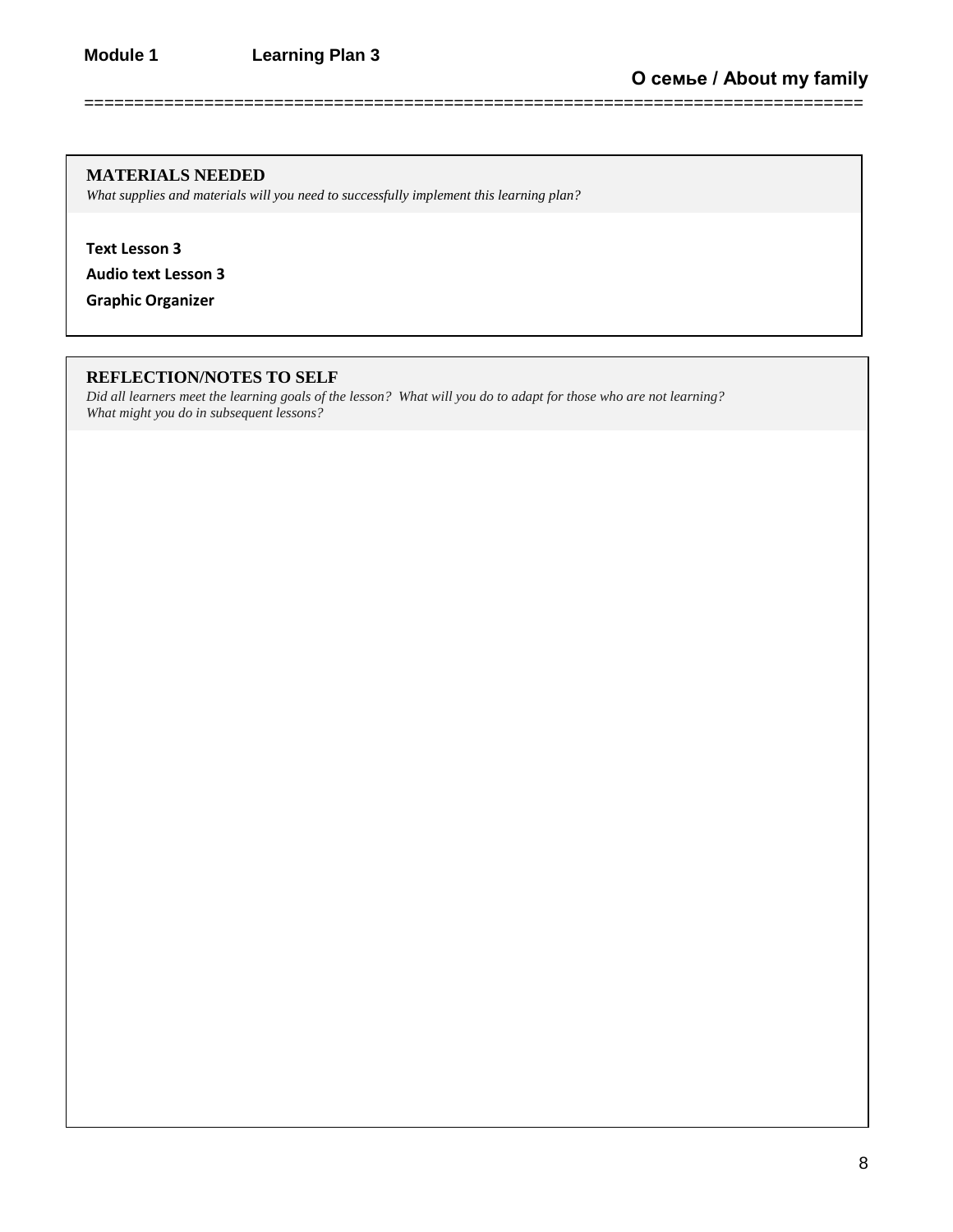### **MATERIALS NEEDED**

*What supplies and materials will you need to successfully implement this learning plan?*

**Text Lesson 3**

**Audio text Lesson 3**

**Graphic Organizer**

### **REFLECTION/NOTES TO SELF**

*Did all learners meet the learning goals of the lesson? What will you do to adapt for those who are not learning? What might you do in subsequent lessons?*

==============================================================================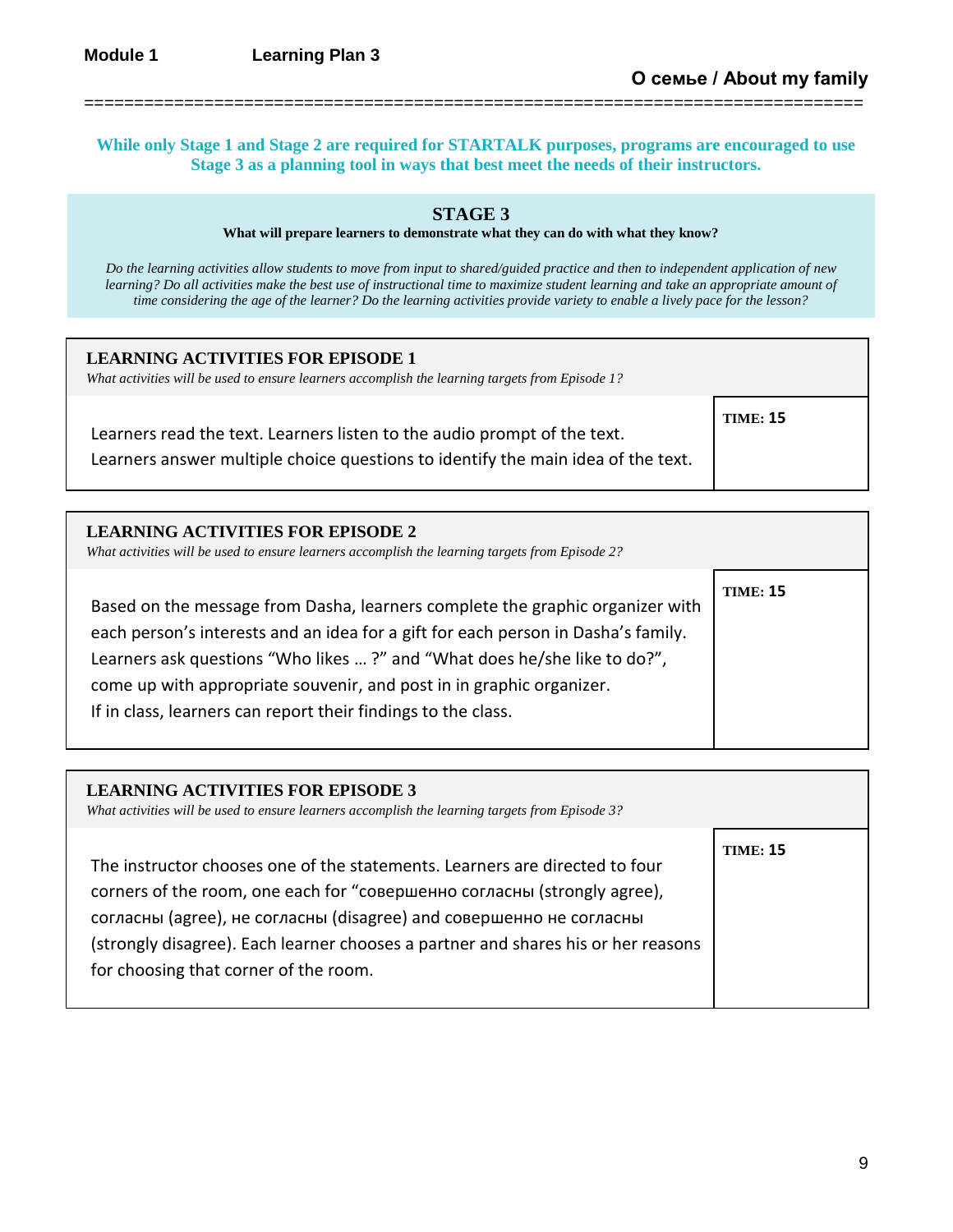**While only Stage 1 and Stage 2 are required for STARTALK purposes, programs are encouraged to use Stage 3 as a planning tool in ways that best meet the needs of their instructors.**

==============================================================================

### **STAGE 3**

**What will prepare learners to demonstrate what they can do with what they know?** 

*Do the learning activities allow students to move from input to shared/guided practice and then to independent application of new learning? Do all activities make the best use of instructional time to maximize student learning and take an appropriate amount of time considering the age of the learner? Do the learning activities provide variety to enable a lively pace for the lesson?*

| <b>LEARNING ACTIVITIES FOR EPISODE 1</b><br>What activities will be used to ensure learners accomplish the learning targets from Episode 1?                  |                 |
|--------------------------------------------------------------------------------------------------------------------------------------------------------------|-----------------|
| Learners read the text. Learners listen to the audio prompt of the text.<br>Learners answer multiple choice questions to identify the main idea of the text. | <b>TIME: 15</b> |

| <b>LEARNING ACTIVITIES FOR EPISODE 2</b><br>What activities will be used to ensure learners accomplish the learning targets from Episode 2?                                                                                                                                                                                                                                             |                 |
|-----------------------------------------------------------------------------------------------------------------------------------------------------------------------------------------------------------------------------------------------------------------------------------------------------------------------------------------------------------------------------------------|-----------------|
| Based on the message from Dasha, learners complete the graphic organizer with<br>each person's interests and an idea for a gift for each person in Dasha's family.<br>Learners ask questions "Who likes ?" and "What does he/she like to do?",<br>come up with appropriate souvenir, and post in in graphic organizer.<br>If in class, learners can report their findings to the class. | <b>TIME: 15</b> |

| <b>LEARNING ACTIVITIES FOR EPISODE 3</b><br>What activities will be used to ensure learners accomplish the learning targets from Episode 3?                                                                                                                                                                                                                  |                 |
|--------------------------------------------------------------------------------------------------------------------------------------------------------------------------------------------------------------------------------------------------------------------------------------------------------------------------------------------------------------|-----------------|
| The instructor chooses one of the statements. Learners are directed to four<br>corners of the room, one each for "совершенно согласны (strongly agree),<br>согласны (agree), не согласны (disagree) and совершенно не согласны<br>(strongly disagree). Each learner chooses a partner and shares his or her reasons<br>for choosing that corner of the room. | <b>TIME: 15</b> |